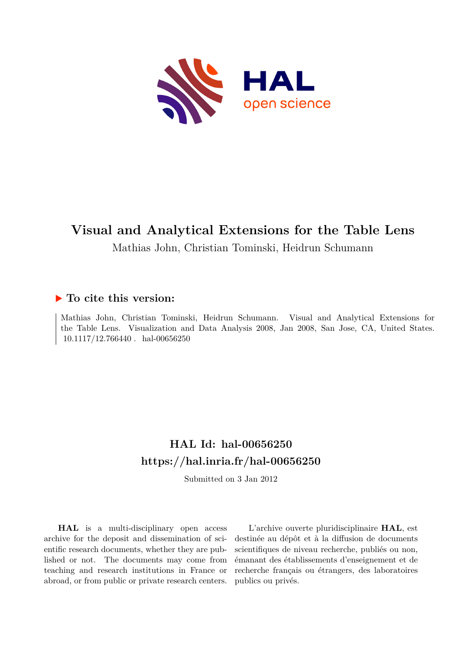

# **Visual and Analytical Extensions for the Table Lens**

Mathias John, Christian Tominski, Heidrun Schumann

# **To cite this version:**

Mathias John, Christian Tominski, Heidrun Schumann. Visual and Analytical Extensions for the Table Lens. Visualization and Data Analysis 2008, Jan 2008, San Jose, CA, United States.  $10.1117/12.766440$ . hal-00656250

# **HAL Id: hal-00656250 <https://hal.inria.fr/hal-00656250>**

Submitted on 3 Jan 2012

**HAL** is a multi-disciplinary open access archive for the deposit and dissemination of scientific research documents, whether they are published or not. The documents may come from teaching and research institutions in France or abroad, or from public or private research centers.

L'archive ouverte pluridisciplinaire **HAL**, est destinée au dépôt et à la diffusion de documents scientifiques de niveau recherche, publiés ou non, émanant des établissements d'enseignement et de recherche français ou étrangers, des laboratoires publics ou privés.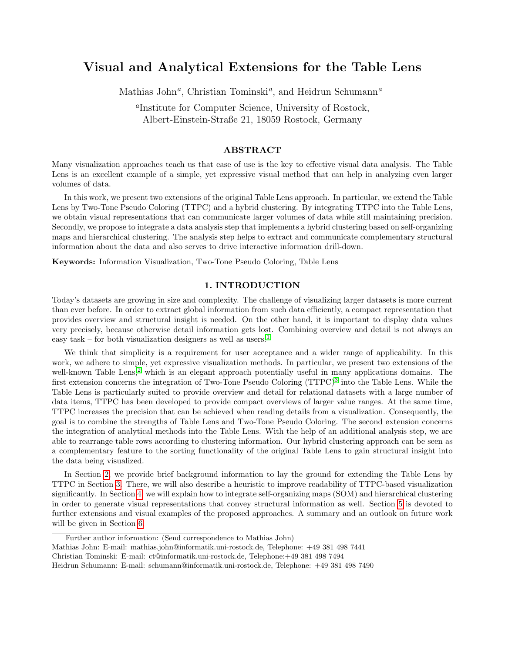# Visual and Analytical Extensions for the Table Lens

Mathias John<sup>a</sup>, Christian Tominski<sup>a</sup>, and Heidrun Schumann<sup>a</sup>

a Institute for Computer Science, University of Rostock, Albert-Einstein-Straße 21, 18059 Rostock, Germany

## ABSTRACT

Many visualization approaches teach us that ease of use is the key to effective visual data analysis. The Table Lens is an excellent example of a simple, yet expressive visual method that can help in analyzing even larger volumes of data.

In this work, we present two extensions of the original Table Lens approach. In particular, we extend the Table Lens by Two-Tone Pseudo Coloring (TTPC) and a hybrid clustering. By integrating TTPC into the Table Lens, we obtain visual representations that can communicate larger volumes of data while still maintaining precision. Secondly, we propose to integrate a data analysis step that implements a hybrid clustering based on self-organizing maps and hierarchical clustering. The analysis step helps to extract and communicate complementary structural information about the data and also serves to drive interactive information drill-down.

Keywords: Information Visualization, Two-Tone Pseudo Coloring, Table Lens

# 1. INTRODUCTION

Today's datasets are growing in size and complexity. The challenge of visualizing larger datasets is more current than ever before. In order to extract global information from such data efficiently, a compact representation that provides overview and structural insight is needed. On the other hand, it is important to display data values very precisely, because otherwise detail information gets lost. Combining overview and detail is not always an easy task – for both visualization designers as well as users.<sup>1</sup>

We think that simplicity is a requirement for user acceptance and a wider range of applicability. In this work, we adhere to simple, yet expressive visualization methods. In particular, we present two extensions of the well-known Table Lens,<sup>2</sup> which is an elegant approach potentially useful in many applications domains. The first extension concerns the integration of Two-Tone Pseudo Coloring (TTPC)<sup>3</sup> into the Table Lens. While the Table Lens is particularly suited to provide overview and detail for relational datasets with a large number of data items, TTPC has been developed to provide compact overviews of larger value ranges. At the same time, TTPC increases the precision that can be achieved when reading details from a visualization. Consequently, the goal is to combine the strengths of Table Lens and Two-Tone Pseudo Coloring. The second extension concerns the integration of analytical methods into the Table Lens. With the help of an additional analysis step, we are able to rearrange table rows according to clustering information. Our hybrid clustering approach can be seen as a complementary feature to the sorting functionality of the original Table Lens to gain structural insight into the data being visualized.

In Section 2, we provide brief background information to lay the ground for extending the Table Lens by TTPC in Section 3. There, we will also describe a heuristic to improve readability of TTPC-based visualization significantly. In Section 4, we will explain how to integrate self-organizing maps (SOM) and hierarchical clustering in order to generate visual representations that convey structural information as well. Section 5 is devoted to further extensions and visual examples of the proposed approaches. A summary and an outlook on future work will be given in Section 6.

Mathias John: E-mail: mathias.john@informatik.uni-rostock.de, Telephone: +49 381 498 7441

Christian Tominski: E-mail: ct@informatik.uni-rostock.de, Telephone:+49 381 498 7494

Further author information: (Send correspondence to Mathias John)

Heidrun Schumann: E-mail: schumann@informatik.uni-rostock.de, Telephone: +49 381 498 7490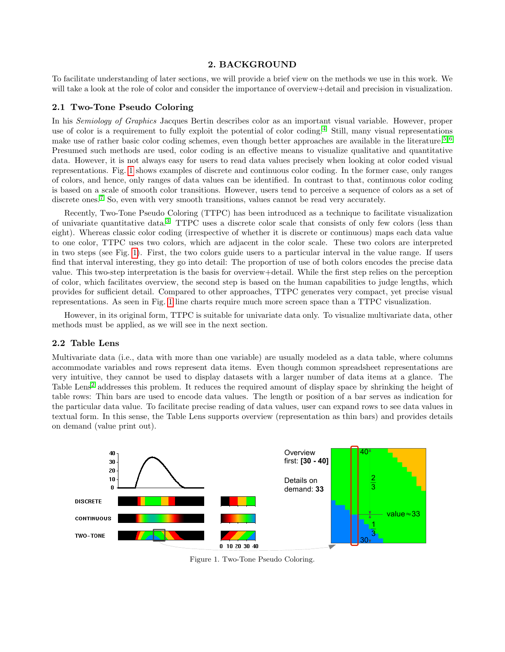### 2. BACKGROUND

To facilitate understanding of later sections, we will provide a brief view on the methods we use in this work. We will take a look at the role of color and consider the importance of overview+detail and precision in visualization.

#### 2.1 Two-Tone Pseudo Coloring

In his Semiology of Graphics Jacques Bertin describes color as an important visual variable. However, proper use of color is a requirement to fully exploit the potential of color coding.<sup>4</sup> Still, many visual representations make use of rather basic color coding schemes, even though better approaches are available in the literature.<sup>5, 6</sup> Presumed such methods are used, color coding is an effective means to visualize qualitative and quantitative data. However, it is not always easy for users to read data values precisely when looking at color coded visual representations. Fig. 1 shows examples of discrete and continuous color coding. In the former case, only ranges of colors, and hence, only ranges of data values can be identified. In contrast to that, continuous color coding is based on a scale of smooth color transitions. However, users tend to perceive a sequence of colors as a set of discrete ones.<sup>7</sup> So, even with very smooth transitions, values cannot be read very accurately.

Recently, Two-Tone Pseudo Coloring (TTPC) has been introduced as a technique to facilitate visualization of univariate quantitative data.3 TTPC uses a discrete color scale that consists of only few colors (less than eight). Whereas classic color coding (irrespective of whether it is discrete or continuous) maps each data value to one color, TTPC uses two colors, which are adjacent in the color scale. These two colors are interpreted in two steps (see Fig. 1). First, the two colors guide users to a particular interval in the value range. If users find that interval interesting, they go into detail: The proportion of use of both colors encodes the precise data value. This two-step interpretation is the basis for overview+detail. While the first step relies on the perception of color, which facilitates overview, the second step is based on the human capabilities to judge lengths, which provides for sufficient detail. Compared to other approaches, TTPC generates very compact, yet precise visual representations. As seen in Fig. 1 line charts require much more screen space than a TTPC visualization.

However, in its original form, TTPC is suitable for univariate data only. To visualize multivariate data, other methods must be applied, as we will see in the next section.

#### 2.2 Table Lens

Multivariate data (i.e., data with more than one variable) are usually modeled as a data table, where columns accommodate variables and rows represent data items. Even though common spreadsheet representations are very intuitive, they cannot be used to display datasets with a larger number of data items at a glance. The Table Lens<sup>2</sup> addresses this problem. It reduces the required amount of display space by shrinking the height of table rows: Thin bars are used to encode data values. The length or position of a bar serves as indication for the particular data value. To facilitate precise reading of data values, user can expand rows to see data values in textual form. In this sense, the Table Lens supports overview (representation as thin bars) and provides details on demand (value print out).



Figure 1. Two-Tone Pseudo Coloring.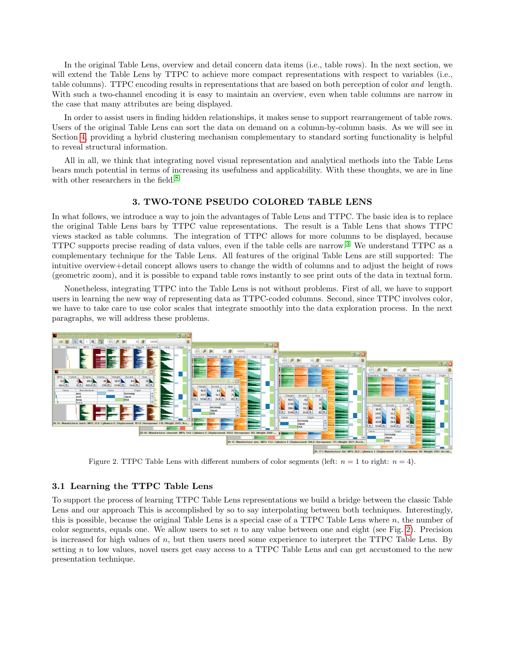In the original Table Lens, overview and detail concern data items (i.e., table rows). In the next section, we will extend the Table Lens by TTPC to achieve more compact representations with respect to variables (i.e., table columns). TTPC encoding results in representations that are based on both perception of color and length. With such a two-channel encoding it is easy to maintain an overview, even when table columns are narrow in the case that many attributes are being displayed.

In order to assist users in finding hidden relationships, it makes sense to support rearrangement of table rows. Users of the original Table Lens can sort the data on demand on a column-by-column basis. As we will see in Section 4, providing a hybrid clustering mechanism complementary to standard sorting functionality is helpful to reveal structural information.

All in all, we think that integrating novel visual representation and analytical methods into the Table Lens bears much potential in terms of increasing its usefulness and applicability. With these thoughts, we are in line with other researchers in the field.<sup>8</sup>

#### 3. TWO-TONE PSEUDO COLORED TABLE LENS

In what follows, we introduce a way to join the advantages of Table Lens and TTPC. The basic idea is to replace the original Table Lens bars by TTPC value representations. The result is a Table Lens that shows TTPC views stacked as table columns. The integration of TTPC allows for more columns to be displayed, because TTPC supports precise reading of data values, even if the table cells are narrow.3 We understand TTPC as a complementary technique for the Table Lens. All features of the original Table Lens are still supported: The intuitive overview+detail concept allows users to change the width of columns and to adjust the height of rows (geometric zoom), and it is possible to expand table rows instantly to see print outs of the data in textual form.

Nonetheless, integrating TTPC into the Table Lens is not without problems. First of all, we have to support users in learning the new way of representing data as TTPC-coded columns. Second, since TTPC involves color, we have to take care to use color scales that integrate smoothly into the data exploration process. In the next paragraphs, we will address these problems.



Figure 2. TTPC Table Lens with different numbers of color segments (left:  $n = 1$  to right:  $n = 4$ ).

#### 3.1 Learning the TTPC Table Lens

To support the process of learning TTPC Table Lens representations we build a bridge between the classic Table Lens and our approach This is accomplished by so to say interpolating between both techniques. Interestingly, this is possible, because the original Table Lens is a special case of a  $TTPC$  Table Lens where  $n$ , the number of color segments, equals one. We allow users to set  $n$  to any value between one and eight (see Fig. 2). Precision is increased for high values of  $n$ , but then users need some experience to interpret the TTPC Table Lens. By setting n to low values, novel users get easy access to a TTPC Table Lens and can get accustomed to the new presentation technique.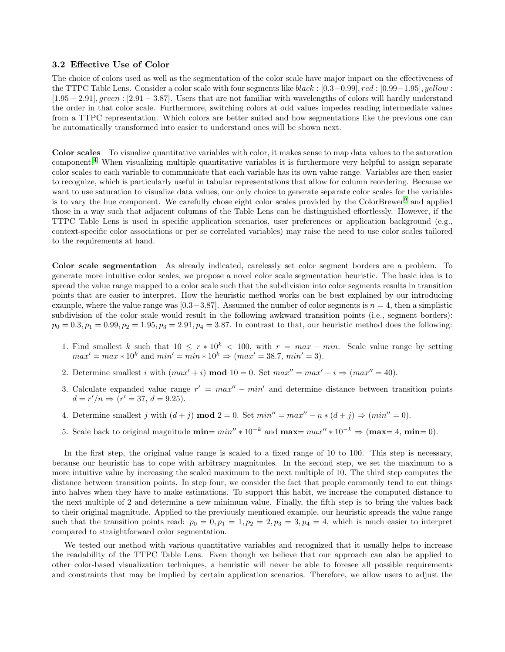#### 3.2 Effective Use of Color

The choice of colors used as well as the segmentation of the color scale have major impact on the effectiveness of the TTPC Table Lens. Consider a color scale with four segments like black : [0.3–0.99], red : [0.99–1.95], yellow :  $[1.95 - 2.91]$ , green : [2.91 – 3.87]. Users that are not familiar with wavelengths of colors will hardly understand the order in that color scale. Furthermore, switching colors at odd values impedes reading intermediate values from a TTPC representation. Which colors are better suited and how segmentations like the previous one can be automatically transformed into easier to understand ones will be shown next.

Color scales To visualize quantitative variables with color, it makes sense to map data values to the saturation component.4 When visualizing multiple quantitative variables it is furthermore very helpful to assign separate color scales to each variable to communicate that each variable has its own value range. Variables are then easier to recognize, which is particularly useful in tabular representations that allow for column reordering. Because we want to use saturation to visualize data values, our only choice to generate separate color scales for the variables is to vary the hue component. We carefully chose eight color scales provided by the ColorBrewer<sup>9</sup> and applied those in a way such that adjacent columns of the Table Lens can be distinguished effortlessly. However, if the TTPC Table Lens is used in specific application scenarios, user preferences or application background (e.g., context-specific color associations or per se correlated variables) may raise the need to use color scales tailored to the requirements at hand.

Color scale segmentation As already indicated, carelessly set color segment borders are a problem. To generate more intuitive color scales, we propose a novel color scale segmentation heuristic. The basic idea is to spread the value range mapped to a color scale such that the subdivision into color segments results in transition points that are easier to interpret. How the heuristic method works can be best explained by our introducing example, where the value range was [0.3−3.87]. Assumed the number of color segments is  $n = 4$ , then a simplistic subdivision of the color scale would result in the following awkward transition points (i.e., segment borders):  $p_0 = 0.3, p_1 = 0.99, p_2 = 1.95, p_3 = 2.91, p_4 = 3.87$ . In contrast to that, our heuristic method does the following:

- 1. Find smallest k such that  $10 \le r * 10^k < 100$ , with  $r = max min$ . Scale value range by setting  $max' = max * 10<sup>k</sup>$  and  $min' = min * 10<sup>k</sup> \Rightarrow (max' = 38.7, min' = 3).$
- 2. Determine smallest i with  $(max'+i) \mod 10 = 0$ . Set  $max'' = max'+i \Rightarrow (max'' = 40)$ .
- 3. Calculate expanded value range  $r' = max'' min'$  and determine distance between transition points  $d = r'/n \Rightarrow (r' = 37, d = 9.25).$
- 4. Determine smallest j with  $(d + j) \text{ mod } 2 = 0$ . Set  $min'' = max'' n * (d + j) \Rightarrow (min'' = 0)$ .
- 5. Scale back to original magnitude  $\min = min'' * 10^{-k}$  and  $\max = max'' * 10^{-k} \Rightarrow (max = 4, min = 0)$ .

In the first step, the original value range is scaled to a fixed range of 10 to 100. This step is necessary, because our heuristic has to cope with arbitrary magnitudes. In the second step, we set the maximum to a more intuitive value by increasing the scaled maximum to the next multiple of 10. The third step computes the distance between transition points. In step four, we consider the fact that people commonly tend to cut things into halves when they have to make estimations. To support this habit, we increase the computed distance to the next multiple of 2 and determine a new minimum value. Finally, the fifth step is to bring the values back to their original magnitude. Applied to the previously mentioned example, our heuristic spreads the value range such that the transition points read:  $p_0 = 0, p_1 = 1, p_2 = 2, p_3 = 3, p_4 = 4$ , which is much easier to interpret compared to straightforward color segmentation.

We tested our method with various quantitative variables and recognized that it usually helps to increase the readability of the TTPC Table Lens. Even though we believe that our approach can also be applied to other color-based visualization techniques, a heuristic will never be able to foresee all possible requirements and constraints that may be implied by certain application scenarios. Therefore, we allow users to adjust the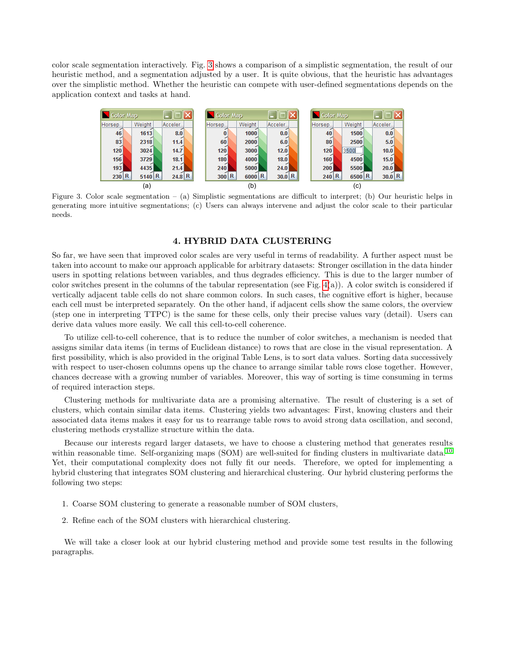color scale segmentation interactively. Fig. 3 shows a comparison of a simplistic segmentation, the result of our heuristic method, and a segmentation adjusted by a user. It is quite obvious, that the heuristic has advantages over the simplistic method. Whether the heuristic can compete with user-defined segmentations depends on the application context and tasks at hand.



Figure 3. Color scale segmentation – (a) Simplistic segmentations are difficult to interpret; (b) Our heuristic helps in generating more intuitive segmentations; (c) Users can always intervene and adjust the color scale to their particular needs.

#### 4. HYBRID DATA CLUSTERING

So far, we have seen that improved color scales are very useful in terms of readability. A further aspect must be taken into account to make our approach applicable for arbitrary datasets: Stronger oscillation in the data hinder users in spotting relations between variables, and thus degrades efficiency. This is due to the larger number of color switches present in the columns of the tabular representation (see Fig.  $4(a)$ ). A color switch is considered if vertically adjacent table cells do not share common colors. In such cases, the cognitive effort is higher, because each cell must be interpreted separately. On the other hand, if adjacent cells show the same colors, the overview (step one in interpreting TTPC) is the same for these cells, only their precise values vary (detail). Users can derive data values more easily. We call this cell-to-cell coherence.

To utilize cell-to-cell coherence, that is to reduce the number of color switches, a mechanism is needed that assigns similar data items (in terms of Euclidean distance) to rows that are close in the visual representation. A first possibility, which is also provided in the original Table Lens, is to sort data values. Sorting data successively with respect to user-chosen columns opens up the chance to arrange similar table rows close together. However, chances decrease with a growing number of variables. Moreover, this way of sorting is time consuming in terms of required interaction steps.

Clustering methods for multivariate data are a promising alternative. The result of clustering is a set of clusters, which contain similar data items. Clustering yields two advantages: First, knowing clusters and their associated data items makes it easy for us to rearrange table rows to avoid strong data oscillation, and second, clustering methods crystallize structure within the data.

Because our interests regard larger datasets, we have to choose a clustering method that generates results within reasonable time. Self-organizing maps (SOM) are well-suited for finding clusters in multivariate data.<sup>10</sup> Yet, their computational complexity does not fully fit our needs. Therefore, we opted for implementing a hybrid clustering that integrates SOM clustering and hierarchical clustering. Our hybrid clustering performs the following two steps:

- 1. Coarse SOM clustering to generate a reasonable number of SOM clusters,
- 2. Refine each of the SOM clusters with hierarchical clustering.

We will take a closer look at our hybrid clustering method and provide some test results in the following paragraphs.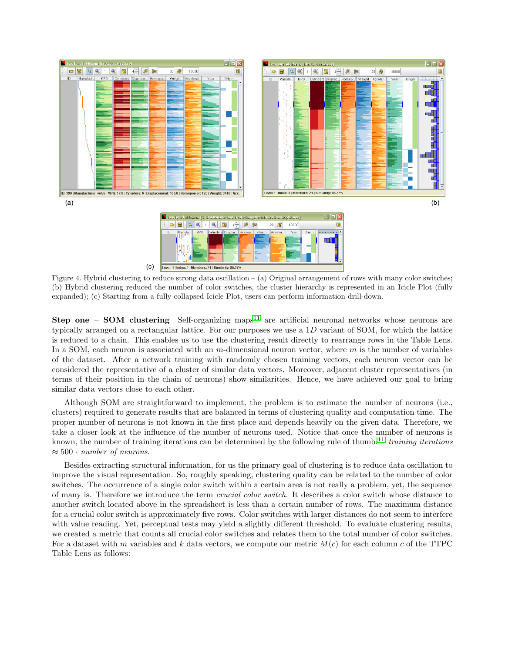

Figure 4. Hybrid clustering to reduce strong data oscillation  $-$  (a) Original arrangement of rows with many color switches; (b) Hybrid clustering reduced the number of color switches, the cluster hierarchy is represented in an Icicle Plot (fully expanded); (c) Starting from a fully collapsed Icicle Plot, users can perform information drill-down.

**Step one – SOM clustering** Self-organizing maps<sup>11</sup> are artificial neuronal networks whose neurons are typically arranged on a rectangular lattice. For our purposes we use a  $1D$  variant of SOM, for which the lattice is reduced to a chain. This enables us to use the clustering result directly to rearrange rows in the Table Lens. In a SOM, each neuron is associated with an m-dimensional neuron vector, where  $m$  is the number of variables of the dataset. After a network training with randomly chosen training vectors, each neuron vector can be considered the representative of a cluster of similar data vectors. Moreover, adjacent cluster representatives (in terms of their position in the chain of neurons) show similarities. Hence, we have achieved our goal to bring similar data vectors close to each other.

Although SOM are straightforward to implement, the problem is to estimate the number of neurons (i.e., clusters) required to generate results that are balanced in terms of clustering quality and computation time. The proper number of neurons is not known in the first place and depends heavily on the given data. Therefore, we take a closer look at the influence of the number of neurons used. Notice that once the number of neurons is known, the number of training iterations can be determined by the following rule of thumb:<sup>11</sup> training iterations  $\approx 500 \cdot \text{ number of neurons.}$ 

Besides extracting structural information, for us the primary goal of clustering is to reduce data oscillation to improve the visual representation. So, roughly speaking, clustering quality can be related to the number of color switches. The occurrence of a single color switch within a certain area is not really a problem, yet, the sequence of many is. Therefore we introduce the term crucial color switch. It describes a color switch whose distance to another switch located above in the spreadsheet is less than a certain number of rows. The maximum distance for a crucial color switch is approximately five rows. Color switches with larger distances do not seem to interfere with value reading. Yet, perceptual tests may yield a slightly different threshold. To evaluate clustering results, we created a metric that counts all crucial color switches and relates them to the total number of color switches. For a dataset with m variables and k data vectors, we compute our metric  $M(c)$  for each column c of the TTPC Table Lens as follows: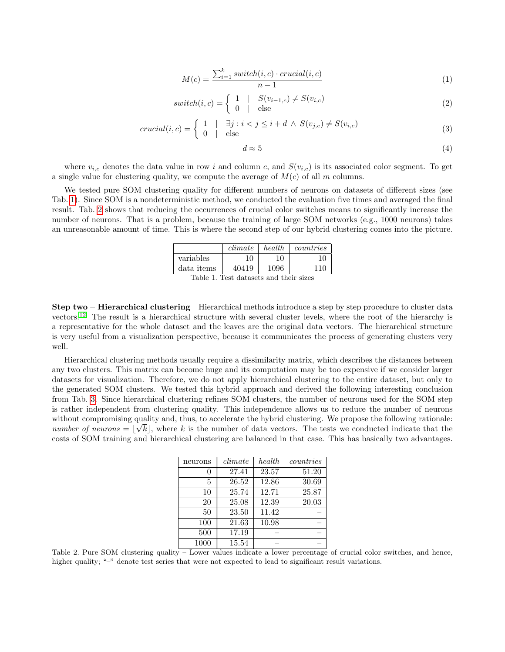$$
M(c) = \frac{\sum_{i=1}^{k} switch(i, c) \cdot crucial(i, c)}{n - 1}
$$
\n
$$
(1)
$$

$$
switch(i,c) = \begin{cases} 1 & | & S(v_{i-1,c}) \neq S(v_{i,c}) \\ 0 & | & else \end{cases}
$$
 (2)

$$
crucial(i,c) = \begin{cases} 1 & | & \exists j : i < j \le i + d \land S(v_{j,c}) \ne S(v_{i,c})\\ 0 & | & \text{else} \end{cases} \tag{3}
$$

$$
d \approx 5 \tag{4}
$$

where  $v_{i,c}$  denotes the data value in row i and column c, and  $S(v_{i,c})$  is its associated color segment. To get a single value for clustering quality, we compute the average of  $M(c)$  of all m columns.

We tested pure SOM clustering quality for different numbers of neurons on datasets of different sizes (see Tab. 1). Since SOM is a nondeterministic method, we conducted the evaluation five times and averaged the final result. Tab. 2 shows that reducing the occurrences of crucial color switches means to significantly increase the number of neurons. That is a problem, because the training of large SOM networks (e.g., 1000 neurons) takes an unreasonable amount of time. This is where the second step of our hybrid clustering comes into the picture.

|            | climate | $\theta$ health | countries |  |
|------------|---------|-----------------|-----------|--|
| variables  | 10      | 10              |           |  |
| data items | 40419   | 1096            | 110       |  |
|            |         |                 |           |  |

Table 1. Test datasets and their sizes

Step two – Hierarchical clustering Hierarchical methods introduce a step by step procedure to cluster data vectors.12 The result is a hierarchical structure with several cluster levels, where the root of the hierarchy is a representative for the whole dataset and the leaves are the original data vectors. The hierarchical structure is very useful from a visualization perspective, because it communicates the process of generating clusters very well.

Hierarchical clustering methods usually require a dissimilarity matrix, which describes the distances between any two clusters. This matrix can become huge and its computation may be too expensive if we consider larger datasets for visualization. Therefore, we do not apply hierarchical clustering to the entire dataset, but only to the generated SOM clusters. We tested this hybrid approach and derived the following interesting conclusion from Tab. 3. Since hierarchical clustering refines SOM clusters, the number of neurons used for the SOM step is rather independent from clustering quality. This independence allows us to reduce the number of neurons without compromising quality and, thus, to accelerate the hybrid clustering. We propose the following rationale: number of neurons  $= [\sqrt{k}]$ , where k is the number of data vectors. The tests we conducted indicate that the costs of SOM training and hierarchical clustering are balanced in that case. This has basically two advantages.

| neurons | climate | $\it{health}$ | countries |
|---------|---------|---------------|-----------|
| 0       | 27.41   | 23.57         | 51.20     |
| 5       | 26.52   | 12.86         | 30.69     |
| 10      | 25.74   | 12.71         | 25.87     |
| 20      | 25.08   | 12.39         | 20.03     |
| 50      | 23.50   | 11.42         |           |
| 100     | 21.63   | 10.98         |           |
| 500     | 17.19   |               |           |
| 1000    | 15.54   |               |           |

Table 2. Pure SOM clustering quality – Lower values indicate a lower percentage of crucial color switches, and hence, higher quality; "-" denote test series that were not expected to lead to significant result variations.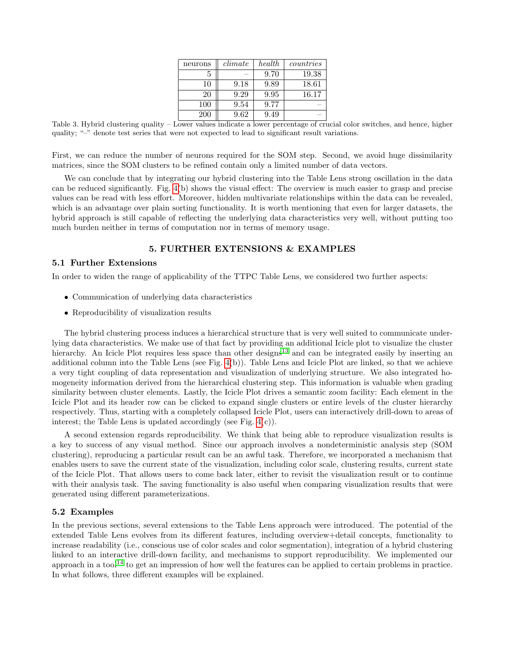| neurons | climate | $_{\it health}$ | countries |
|---------|---------|-----------------|-----------|
|         |         | 9.70            | 19.38     |
| 10      | 9.18    | 9.89            | 18.61     |
| 20      | 9.29    | 9.95            | 16.17     |
| 100     | 9.54    | 9.77            |           |
| 200     | 9.62    | 9.49            |           |

Table 3. Hybrid clustering quality – Lower values indicate a lower percentage of crucial color switches, and hence, higher quality; "–" denote test series that were not expected to lead to significant result variations.

First, we can reduce the number of neurons required for the SOM step. Second, we avoid huge dissimilarity matrices, since the SOM clusters to be refined contain only a limited number of data vectors.

We can conclude that by integrating our hybrid clustering into the Table Lens strong oscillation in the data can be reduced significantly. Fig. 4(b) shows the visual effect: The overview is much easier to grasp and precise values can be read with less effort. Moreover, hidden multivariate relationships within the data can be revealed, which is an advantage over plain sorting functionality. It is worth mentioning that even for larger datasets, the hybrid approach is still capable of reflecting the underlying data characteristics very well, without putting too much burden neither in terms of computation nor in terms of memory usage.

# 5. FURTHER EXTENSIONS & EXAMPLES

## 5.1 Further Extensions

In order to widen the range of applicability of the TTPC Table Lens, we considered two further aspects:

- Communication of underlying data characteristics
- Reproducibility of visualization results

The hybrid clustering process induces a hierarchical structure that is very well suited to communicate underlying data characteristics. We make use of that fact by providing an additional Icicle plot to visualize the cluster hierarchy. An Icicle Plot requires less space than other designs<sup>13</sup> and can be integrated easily by inserting an additional column into the Table Lens (see Fig. 4(b)). Table Lens and Icicle Plot are linked, so that we achieve a very tight coupling of data representation and visualization of underlying structure. We also integrated homogeneity information derived from the hierarchical clustering step. This information is valuable when grading similarity between cluster elements. Lastly, the Icicle Plot drives a semantic zoom facility: Each element in the Icicle Plot and its header row can be clicked to expand single clusters or entire levels of the cluster hierarchy respectively. Thus, starting with a completely collapsed Icicle Plot, users can interactively drill-down to areas of interest; the Table Lens is updated accordingly (see Fig. 4(c)).

A second extension regards reproducibility. We think that being able to reproduce visualization results is a key to success of any visual method. Since our approach involves a nondeterministic analysis step (SOM clustering), reproducing a particular result can be an awful task. Therefore, we incorporated a mechanism that enables users to save the current state of the visualization, including color scale, clustering results, current state of the Icicle Plot. That allows users to come back later, either to revisit the visualization result or to continue with their analysis task. The saving functionality is also useful when comparing visualization results that were generated using different parameterizations.

#### 5.2 Examples

In the previous sections, several extensions to the Table Lens approach were introduced. The potential of the extended Table Lens evolves from its different features, including overview+detail concepts, functionality to increase readability (i.e., conscious use of color scales and color segmentation), integration of a hybrid clustering linked to an interactive drill-down facility, and mechanisms to support reproducibility. We implemented our approach in a tool<sup>14</sup> to get an impression of how well the features can be applied to certain problems in practice. In what follows, three different examples will be explained.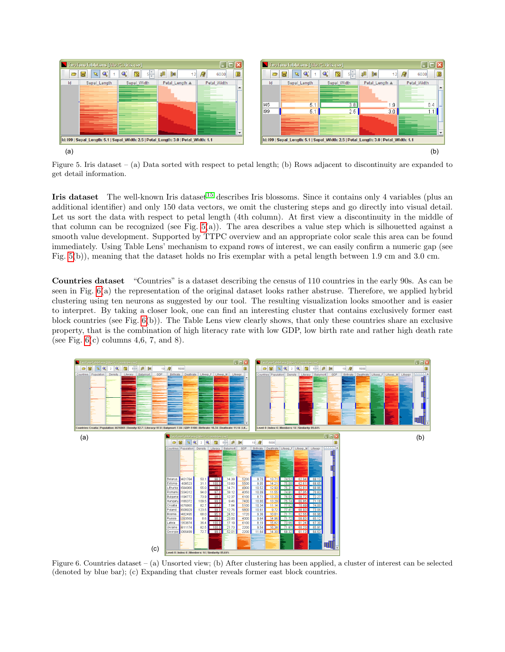

Figure 5. Iris dataset – (a) Data sorted with respect to petal length; (b) Rows adjacent to discontinuity are expanded to get detail information.

**Iris dataset** The well-known Iris dataset<sup>15</sup> describes Iris blossoms. Since it contains only 4 variables (plus an additional identifier) and only 150 data vectors, we omit the clustering steps and go directly into visual detail. Let us sort the data with respect to petal length (4th column). At first view a discontinuity in the middle of that column can be recognized (see Fig.  $5(a)$ ). The area describes a value step which is silhouetted against a smooth value development. Supported by TTPC overview and an appropriate color scale this area can be found immediately. Using Table Lens' mechanism to expand rows of interest, we can easily confirm a numeric gap (see Fig. 5(b)), meaning that the dataset holds no Iris exemplar with a petal length between 1.9 cm and 3.0 cm.

Countries dataset "Countries" is a dataset describing the census of 110 countries in the early 90s. As can be seen in Fig. 6(a) the representation of the original dataset looks rather abstruse. Therefore, we applied hybrid clustering using ten neurons as suggested by our tool. The resulting visualization looks smoother and is easier to interpret. By taking a closer look, one can find an interesting cluster that contains exclusively former east block countries (see Fig. 6(b)). The Table Lens view clearly shows, that only these countries share an exclusive property, that is the combination of high literacy rate with low GDP, low birth rate and rather high death rate (see Fig.  $6(c)$  columns 4,6, 7, and 8).



Figure 6. Countries dataset – (a) Unsorted view; (b) After clustering has been applied, a cluster of interest can be selected (denoted by blue bar); (c) Expanding that cluster reveals former east block countries.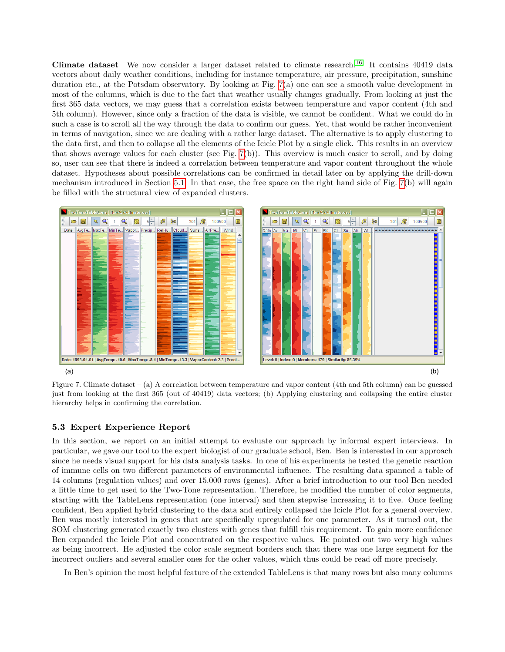Climate dataset We now consider a larger dataset related to climate research.<sup>16</sup> It contains  $40419$  data vectors about daily weather conditions, including for instance temperature, air pressure, precipitation, sunshine duration etc., at the Potsdam observatory. By looking at Fig. 7(a) one can see a smooth value development in most of the columns, which is due to the fact that weather usually changes gradually. From looking at just the first 365 data vectors, we may guess that a correlation exists between temperature and vapor content (4th and 5th column). However, since only a fraction of the data is visible, we cannot be confident. What we could do in such a case is to scroll all the way through the data to confirm our guess. Yet, that would be rather inconvenient in terms of navigation, since we are dealing with a rather large dataset. The alternative is to apply clustering to the data first, and then to collapse all the elements of the Icicle Plot by a single click. This results in an overview that shows average values for each cluster (see Fig. 7(b)). This overview is much easier to scroll, and by doing so, user can see that there is indeed a correlation between temperature and vapor content throughout the whole dataset. Hypotheses about possible correlations can be confirmed in detail later on by applying the drill-down mechanism introduced in Section 5.1. In that case, the free space on the right hand side of Fig. 7(b) will again be filled with the structural view of expanded clusters.



Figure 7. Climate dataset  $-$  (a) A correlation between temperature and vapor content (4th and 5th column) can be guessed just from looking at the first 365 (out of 40419) data vectors; (b) Applying clustering and collapsing the entire cluster hierarchy helps in confirming the correlation.

### 5.3 Expert Experience Report

In this section, we report on an initial attempt to evaluate our approach by informal expert interviews. In particular, we gave our tool to the expert biologist of our graduate school, Ben. Ben is interested in our approach since he needs visual support for his data analysis tasks. In one of his experiments he tested the genetic reaction of immune cells on two different parameters of environmental influence. The resulting data spanned a table of 14 columns (regulation values) and over 15.000 rows (genes). After a brief introduction to our tool Ben needed a little time to get used to the Two-Tone representation. Therefore, he modified the number of color segments, starting with the TableLens representation (one interval) and then stepwise increasing it to five. Once feeling confident, Ben applied hybrid clustering to the data and entirely collapsed the Icicle Plot for a general overview. Ben was mostly interested in genes that are specifically upregulated for one parameter. As it turned out, the SOM clustering generated exactly two clusters with genes that fulfill this requirement. To gain more confidence Ben expanded the Icicle Plot and concentrated on the respective values. He pointed out two very high values as being incorrect. He adjusted the color scale segment borders such that there was one large segment for the incorrect outliers and several smaller ones for the other values, which thus could be read off more precisely.

In Ben's opinion the most helpful feature of the extended TableLens is that many rows but also many columns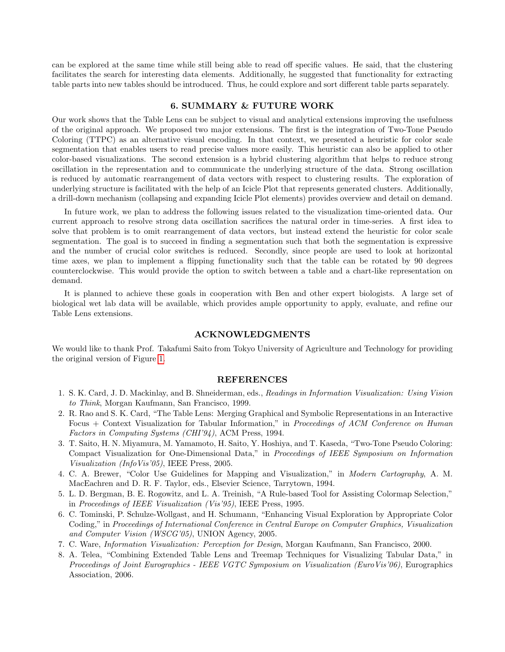can be explored at the same time while still being able to read off specific values. He said, that the clustering facilitates the search for interesting data elements. Additionally, he suggested that functionality for extracting table parts into new tables should be introduced. Thus, he could explore and sort different table parts separately.

## 6. SUMMARY & FUTURE WORK

Our work shows that the Table Lens can be subject to visual and analytical extensions improving the usefulness of the original approach. We proposed two major extensions. The first is the integration of Two-Tone Pseudo Coloring (TTPC) as an alternative visual encoding. In that context, we presented a heuristic for color scale segmentation that enables users to read precise values more easily. This heuristic can also be applied to other color-based visualizations. The second extension is a hybrid clustering algorithm that helps to reduce strong oscillation in the representation and to communicate the underlying structure of the data. Strong oscillation is reduced by automatic rearrangement of data vectors with respect to clustering results. The exploration of underlying structure is facilitated with the help of an Icicle Plot that represents generated clusters. Additionally, a drill-down mechanism (collapsing and expanding Icicle Plot elements) provides overview and detail on demand.

In future work, we plan to address the following issues related to the visualization time-oriented data. Our current approach to resolve strong data oscillation sacrifices the natural order in time-series. A first idea to solve that problem is to omit rearrangement of data vectors, but instead extend the heuristic for color scale segmentation. The goal is to succeed in finding a segmentation such that both the segmentation is expressive and the number of crucial color switches is reduced. Secondly, since people are used to look at horizontal time axes, we plan to implement a flipping functionality such that the table can be rotated by 90 degrees counterclockwise. This would provide the option to switch between a table and a chart-like representation on demand.

It is planned to achieve these goals in cooperation with Ben and other expert biologists. A large set of biological wet lab data will be available, which provides ample opportunity to apply, evaluate, and refine our Table Lens extensions.

#### ACKNOWLEDGMENTS

We would like to thank Prof. Takafumi Saito from Tokyo University of Agriculture and Technology for providing the original version of Figure 1.

#### REFERENCES

- 1. S. K. Card, J. D. Mackinlay, and B. Shneiderman, eds., Readings in Information Visualization: Using Vision to Think, Morgan Kaufmann, San Francisco, 1999.
- 2. R. Rao and S. K. Card, "The Table Lens: Merging Graphical and Symbolic Representations in an Interactive Focus + Context Visualization for Tabular Information," in Proceedings of ACM Conference on Human Factors in Computing Systems (CHI'94), ACM Press, 1994.
- 3. T. Saito, H. N. Miyamura, M. Yamamoto, H. Saito, Y. Hoshiya, and T. Kaseda, "Two-Tone Pseudo Coloring: Compact Visualization for One-Dimensional Data," in Proceedings of IEEE Symposium on Information Visualization (InfoVis'05), IEEE Press, 2005.
- 4. C. A. Brewer, "Color Use Guidelines for Mapping and Visualization," in Modern Cartography, A. M. MacEachren and D. R. F. Taylor, eds., Elsevier Science, Tarrytown, 1994.
- 5. L. D. Bergman, B. E. Rogowitz, and L. A. Treinish, "A Rule-based Tool for Assisting Colormap Selection," in Proceedings of IEEE Visualization (Vis'95), IEEE Press, 1995.
- 6. C. Tominski, P. Schulze-Wollgast, and H. Schumann, "Enhancing Visual Exploration by Appropriate Color Coding," in Proceedings of International Conference in Central Europe on Computer Graphics, Visualization and Computer Vision (WSCG'05), UNION Agency, 2005.
- 7. C. Ware, Information Visualization: Perception for Design, Morgan Kaufmann, San Francisco, 2000.
- 8. A. Telea, "Combining Extended Table Lens and Treemap Techniques for Visualizing Tabular Data," in Proceedings of Joint Eurographics - IEEE VGTC Symposium on Visualization (EuroVis'06), Eurographics Association, 2006.